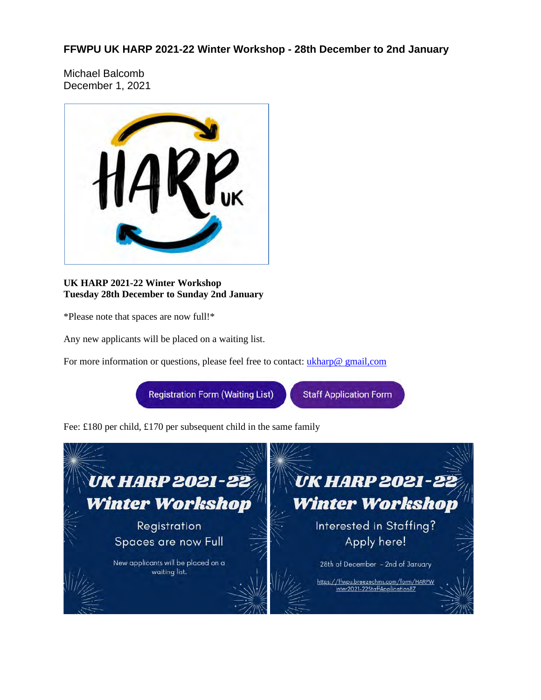**FFWPU UK HARP 2021-22 Winter Workshop - 28th December to 2nd January**

Michael Balcomb December 1, 2021



**UK HARP 2021-22 Winter Workshop Tuesday 28th December to Sunday 2nd January**

\*Please note that spaces are now full!\*

Any new applicants will be placed on a waiting list.

For more information or questions, please feel free to contact: *ukharp@ gmail,com* 

**Registration Form (Waiting List)** 

**Staff Application Form** 

Fee: £180 per child, £170 per subsequent child in the same family

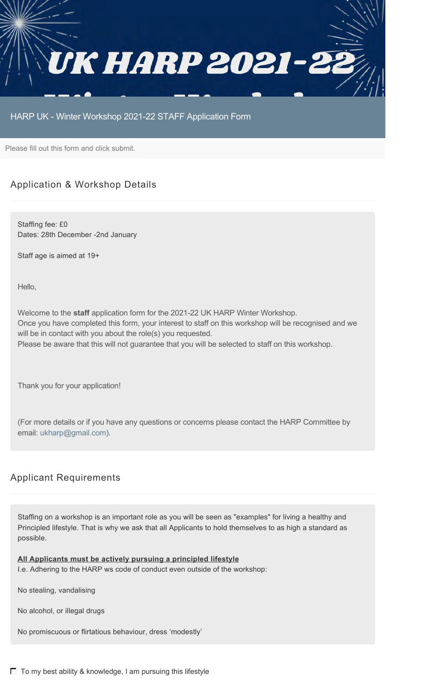

## HARP UK - Winter Workshop 2021-22 STAFF Application Form

Please fill out this form and click submit.

## Application & Workshop Details

Staffing fee: £0 Dates: 28th December -2nd January

Staff age is aimed at 19+

Hello,

Welcome to the **staff** application form for the 2021-22 UK HARP Winter Workshop. Once you have completed this form, your interest to staff on this workshop will be recognised and we will be in contact with you about the role(s) you requested. Please be aware that this will not guarantee that you will be selected to staff on this workshop.

Thank you for your application!

(For more details or if you have any questions or concerns please contact the HARP Committee by email: ukharp@gmail.com).

## Applicant Requirements

Staffing on a workshop is an important role as you will be seen as "examples" for living a healthy and Principled lifestyle. That is why we ask that all Applicants to hold themselves to as high a standard as possible.

#### **All Applicants must be actively pursuing a principled lifestyle**

I.e. Adhering to the HARP ws code of conduct even outside of the workshop:

No stealing, vandalising

No alcohol, or illegal drugs

No promiscuous or flirtatious behaviour, dress 'modestly'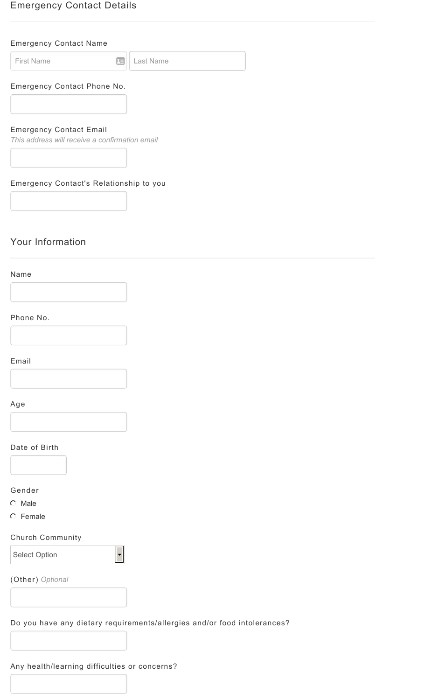## Emergency Contact Details

## Emergency Contact Name

First Name **Last Name** 

## Emergency Contact Phone No.

## Emergency Contact Email

*This address will receive a confirmation email*

## Emergency Contact's Relationship to you

## Your Information

## Name



#### Phone No.



## Email



## Age

#### Date of Birth

## Gender

- $O$  Male
- Female

## Church Community

Select Option

(Other) *Optional*

## Do you have any dietary requirements/allergies and/or food intolerances?

 $\overline{\phantom{a}}$ 

## Any health/learning difficulties or concerns?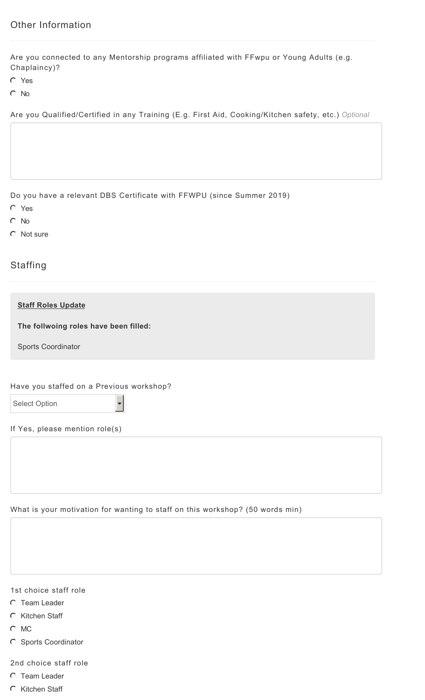Are you connected to any Mentorship programs affiliated with FFwpu or Young Adults (e.g. Chaplaincy)?

- Yes
- C No

Are you Qualified/Certified in any Training (E.g. First Aid, Cooking/Kitchen safety, etc.) *Optional*

Do you have a relevant DBS Certificate with FFWPU (since Summer 2019)

- Yes
- C No
- C Not sure

# **Staffing**

#### **Staff Roles Update**

**The follwoing roles have been filled:**

Sports Coordinator

#### Have you staffed on a Previous workshop?

 $\ddot{\phantom{0}}$ 

If Yes, please mention role(s)

What is your motivation for wanting to staff on this workshop? (50 words min)

1st choice staff role

- **C** Team Leader
- **C** Kitchen Staff
- $O$  MC
- C Sports Coordinator

2nd choice staff role

- **C** Team Leader
- **C** Kitchen Staff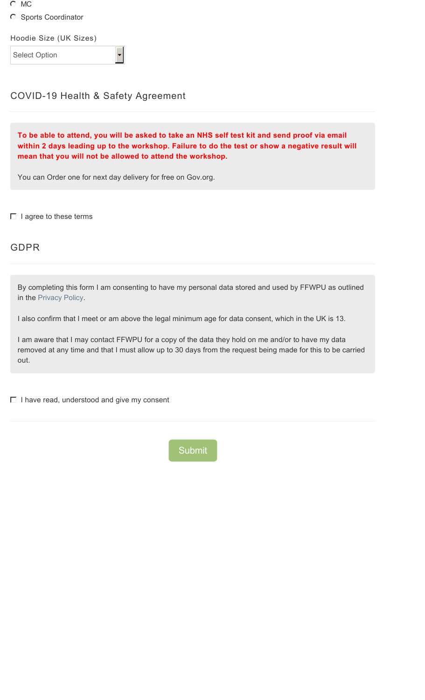- C MC
- C Sports Coordinator

Hoodie Size (UK Sizes)

Select Option

# COVID-19 Health & Safety Agreement

**To be able to attend, you will be asked to take an NHS self test kit and send proof via email within 2 days leading up to the workshop. Failure to do the test or show a negative result will mean that you will not be allowed to attend the workshop.**

You can Order one for next day delivery for free on Gov.org.

 $\Box$  I agree to these terms

# GDPR

By completing this form I am consenting to have my personal data stored and used by FFWPU as outlined in the Privacy Policy.

I also confirm that I meet or am above the legal minimum age for data consent, which in the UK is 13.

I am aware that I may contact FFWPU for a copy of the data they hold on me and/or to have my data removed at any time and that I must allow up to 30 days from the request being made for this to be carried out.

 $\Box$  I have read, understood and give my consent

Submit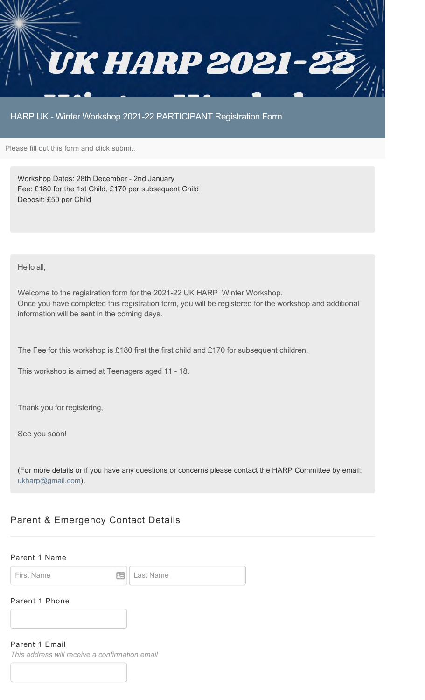

HARP UK - Winter Workshop 2021-22 PARTICIPANT Registration Form

Please fill out this form and click submit.

Workshop Dates: 28th December - 2nd January Fee: £180 for the 1st Child, £170 per subsequent Child Deposit: £50 per Child

Hello all,

Welcome to the registration form for the 2021-22 UK HARP Winter Workshop. Once you have completed this registration form, you will be registered for the workshop and additional information will be sent in the coming days.

The Fee for this workshop is £180 first the first child and £170 for subsequent children.

This workshop is aimed at Teenagers aged 11 - 18.

Thank you for registering,

See you soon!

(For more details or if you have any questions or concerns please contact the HARP Committee by email: ukharp@gmail.com).

## Parent & Emergency Contact Details

#### Parent 1 Name

First Name **Example 2** Last Name

#### Parent 1 Phone

#### Parent 1 Email

*This address will receive a confirmation email*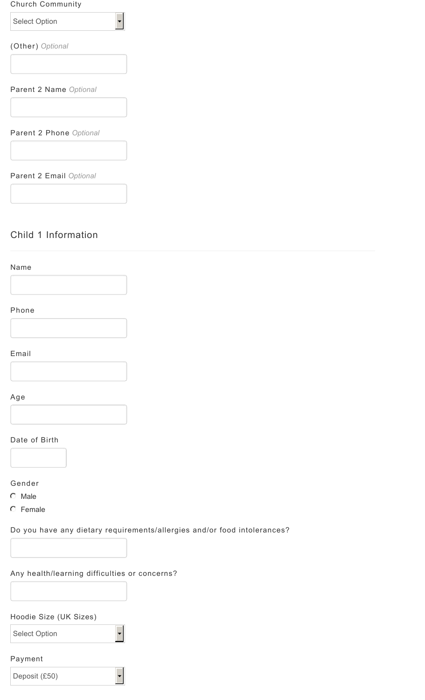## Church Community

 $\overline{\phantom{0}}$ 

Select Option

(Other) *Optional*

Parent 2 Name *Optional*

Parent 2 Phone *Optional*

Parent 2 Email *Optional*

## Child 1 Information



# Phone



## Email



## Age

# Date of Birth

#### Gender

- $C$  Male
- **C** Female

## Do you have any dietary requirements/allergies and/or food intolerances?

## Any health/learning difficulties or concerns?

## Hoodie Size (UK Sizes)

Select Option

## Payment

Deposit (£50)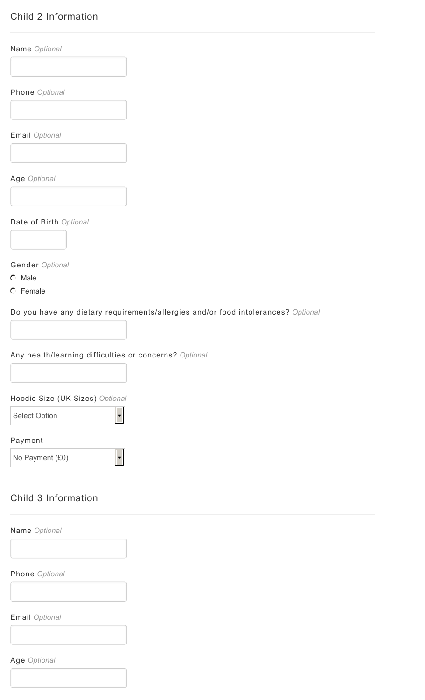# Child 2 Information

Name *Optional*

Phone *Optional*

Email *Optional*

Age *Optional*

Date of Birth *Optional*



Gender *Optional*

 $O$  Male

**C** Female

Do you have any dietary requirements/allergies and/or food intolerances? *Optional*

Any health/learning difficulties or concerns? *Optional*

 $\blacktriangledown$ 

 $\blacktriangledown$ 

Hoodie Size (UK Sizes) *Optional*

Select Option

Payment

No Payment (£0)

## Child 3 Information

Name *Optional*

Phone *Optional*

Email *Optional*

Age *Optional*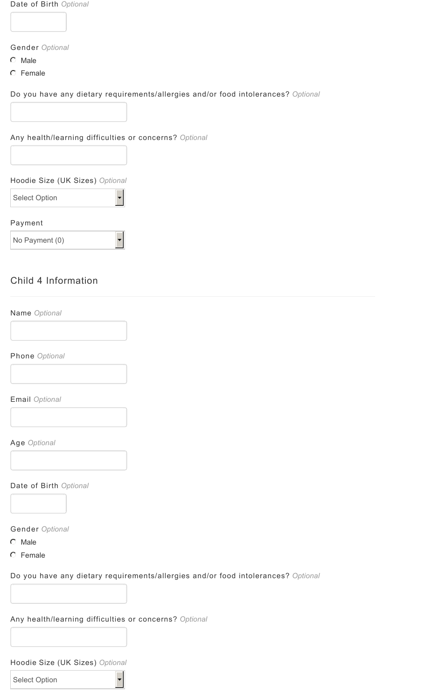Date of Birth *Optional*

Gender *Optional*

- $O$  Male
- C Female

Do you have any dietary requirements/allergies and/or food intolerances? *Optional*

Any health/learning difficulties or concerns? *Optional*

 $\overline{\phantom{a}}$ 

Hoodie Size (UK Sizes) *Optional*

Select Option

Payment

No Payment (0)

# Child 4 Information

Name *Optional*

Phone *Optional*

Email *Optional*

Age *Optional*

Date of Birth *Optional*

Gender *Optional*

- $O$  Male
- C Female

Do you have any dietary requirements/allergies and/or food intolerances? *Optional*

Any health/learning difficulties or concerns? *Optional*

 $\overline{\phantom{a}}$ 

Hoodie Size (UK Sizes) *Optional*

Select Option